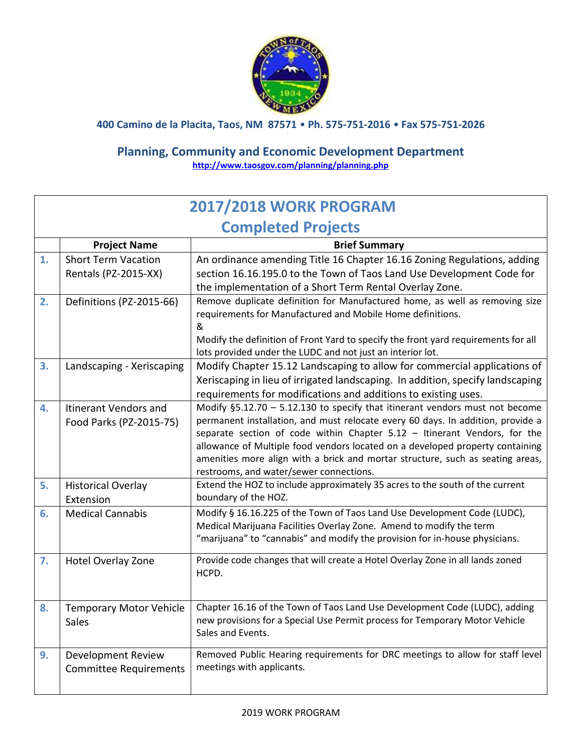

**400 Camino de la Placita, Taos, NM 87571** • **Ph. 575-751-2016** • **Fax 575-751-2026**

## **Planning, Community and Economic Development Department <http://www.taosgov.com/planning/planning.php>**

|                                             | <b>2017/2018 WORK PROGRAM</b>                              |                                                                                                                                                                                                                                                                                                                                                                                                                                                            |  |  |
|---------------------------------------------|------------------------------------------------------------|------------------------------------------------------------------------------------------------------------------------------------------------------------------------------------------------------------------------------------------------------------------------------------------------------------------------------------------------------------------------------------------------------------------------------------------------------------|--|--|
|                                             | <b>Completed Projects</b>                                  |                                                                                                                                                                                                                                                                                                                                                                                                                                                            |  |  |
| <b>Project Name</b><br><b>Brief Summary</b> |                                                            |                                                                                                                                                                                                                                                                                                                                                                                                                                                            |  |  |
| 1.                                          | <b>Short Term Vacation</b><br>Rentals (PZ-2015-XX)         | An ordinance amending Title 16 Chapter 16.16 Zoning Regulations, adding<br>section 16.16.195.0 to the Town of Taos Land Use Development Code for<br>the implementation of a Short Term Rental Overlay Zone.                                                                                                                                                                                                                                                |  |  |
| 2.                                          | Definitions (PZ-2015-66)                                   | Remove duplicate definition for Manufactured home, as well as removing size<br>requirements for Manufactured and Mobile Home definitions.<br>&<br>Modify the definition of Front Yard to specify the front yard requirements for all<br>lots provided under the LUDC and not just an interior lot.                                                                                                                                                         |  |  |
| 3.                                          | Landscaping - Xeriscaping                                  | Modify Chapter 15.12 Landscaping to allow for commercial applications of<br>Xeriscaping in lieu of irrigated landscaping. In addition, specify landscaping<br>requirements for modifications and additions to existing uses.                                                                                                                                                                                                                               |  |  |
| 4.                                          | Itinerant Vendors and<br>Food Parks (PZ-2015-75)           | Modify §5.12.70 - 5.12.130 to specify that itinerant vendors must not become<br>permanent installation, and must relocate every 60 days. In addition, provide a<br>separate section of code within Chapter 5.12 - Itinerant Vendors, for the<br>allowance of Multiple food vendors located on a developed property containing<br>amenities more align with a brick and mortar structure, such as seating areas,<br>restrooms, and water/sewer connections. |  |  |
| 5.                                          | <b>Historical Overlay</b><br>Extension                     | Extend the HOZ to include approximately 35 acres to the south of the current<br>boundary of the HOZ.                                                                                                                                                                                                                                                                                                                                                       |  |  |
| 6.                                          | <b>Medical Cannabis</b>                                    | Modify § 16.16.225 of the Town of Taos Land Use Development Code (LUDC),<br>Medical Marijuana Facilities Overlay Zone. Amend to modify the term<br>"marijuana" to "cannabis" and modify the provision for in-house physicians.                                                                                                                                                                                                                             |  |  |
| 7.                                          | <b>Hotel Overlay Zone</b>                                  | Provide code changes that will create a Hotel Overlay Zone in all lands zoned<br>HCPD.                                                                                                                                                                                                                                                                                                                                                                     |  |  |
| 8.                                          | <b>Temporary Motor Vehicle</b><br><b>Sales</b>             | Chapter 16.16 of the Town of Taos Land Use Development Code (LUDC), adding<br>new provisions for a Special Use Permit process for Temporary Motor Vehicle<br>Sales and Events.                                                                                                                                                                                                                                                                             |  |  |
| 9.                                          | <b>Development Review</b><br><b>Committee Requirements</b> | Removed Public Hearing requirements for DRC meetings to allow for staff level<br>meetings with applicants.                                                                                                                                                                                                                                                                                                                                                 |  |  |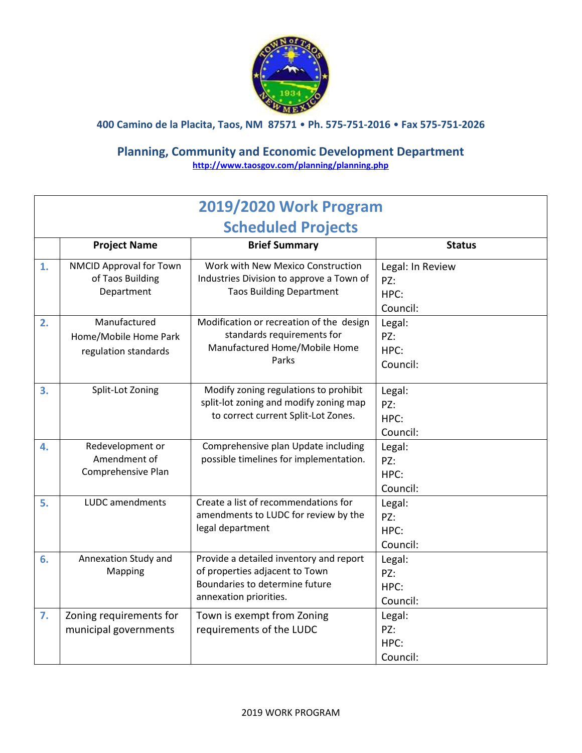

**400 Camino de la Placita, Taos, NM 87571** • **Ph. 575-751-2016** • **Fax 575-751-2026**

## **Planning, Community and Economic Development Department <http://www.taosgov.com/planning/planning.php>**

| 2019/2020 Work Program |                                                               |                                                                                                                                       |                                             |  |  |
|------------------------|---------------------------------------------------------------|---------------------------------------------------------------------------------------------------------------------------------------|---------------------------------------------|--|--|
|                        | <b>Scheduled Projects</b>                                     |                                                                                                                                       |                                             |  |  |
|                        | <b>Project Name</b>                                           | <b>Brief Summary</b>                                                                                                                  | <b>Status</b>                               |  |  |
| 1.                     | NMCID Approval for Town<br>of Taos Building<br>Department     | Work with New Mexico Construction<br>Industries Division to approve a Town of<br><b>Taos Building Department</b>                      | Legal: In Review<br>PZ:<br>HPC:<br>Council: |  |  |
| 2.                     | Manufactured<br>Home/Mobile Home Park<br>regulation standards | Modification or recreation of the design<br>standards requirements for<br>Manufactured Home/Mobile Home<br>Parks                      | Legal:<br>PZ:<br>HPC:<br>Council:           |  |  |
| 3.                     | Split-Lot Zoning                                              | Modify zoning regulations to prohibit<br>split-lot zoning and modify zoning map<br>to correct current Split-Lot Zones.                | Legal:<br>PZ:<br>HPC:<br>Council:           |  |  |
| 4.                     | Redevelopment or<br>Amendment of<br>Comprehensive Plan        | Comprehensive plan Update including<br>possible timelines for implementation.                                                         | Legal:<br>PZ:<br>HPC:<br>Council:           |  |  |
| 5.                     | LUDC amendments                                               | Create a list of recommendations for<br>amendments to LUDC for review by the<br>legal department                                      | Legal:<br>PZ:<br>HPC:<br>Council:           |  |  |
| 6.                     | Annexation Study and<br>Mapping                               | Provide a detailed inventory and report<br>of properties adjacent to Town<br>Boundaries to determine future<br>annexation priorities. | Legal:<br>PZ:<br>HPC:<br>Council:           |  |  |
| 7.                     | Zoning requirements for<br>municipal governments              | Town is exempt from Zoning<br>requirements of the LUDC                                                                                | Legal:<br>PZ:<br>HPC:<br>Council:           |  |  |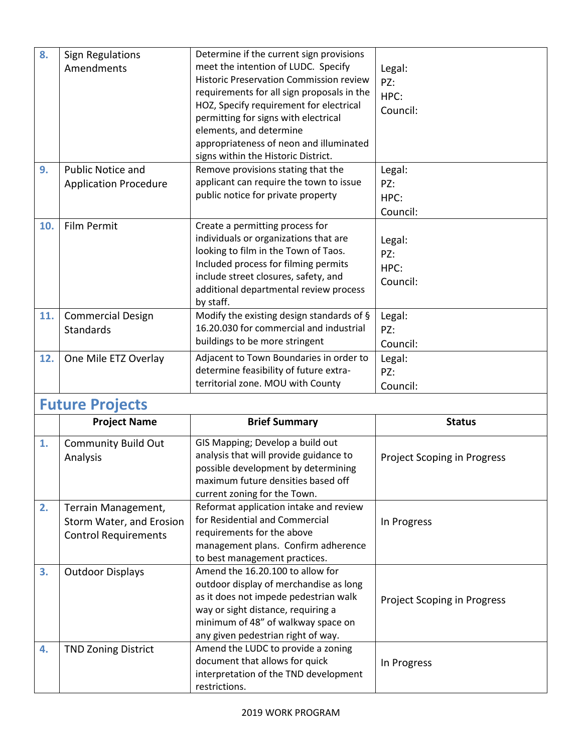| 8.  | <b>Sign Regulations</b><br>Amendments                                          | Determine if the current sign provisions<br>meet the intention of LUDC. Specify<br><b>Historic Preservation Commission review</b><br>requirements for all sign proposals in the<br>HOZ, Specify requirement for electrical<br>permitting for signs with electrical<br>elements, and determine<br>appropriateness of neon and illuminated<br>signs within the Historic District. | Legal:<br>PZ:<br>HPC:<br>Council:  |
|-----|--------------------------------------------------------------------------------|---------------------------------------------------------------------------------------------------------------------------------------------------------------------------------------------------------------------------------------------------------------------------------------------------------------------------------------------------------------------------------|------------------------------------|
| 9.  | <b>Public Notice and</b><br><b>Application Procedure</b>                       | Remove provisions stating that the<br>applicant can require the town to issue<br>public notice for private property                                                                                                                                                                                                                                                             | Legal:<br>PZ:<br>HPC:<br>Council:  |
| 10. | Film Permit                                                                    | Create a permitting process for<br>individuals or organizations that are<br>looking to film in the Town of Taos.<br>Included process for filming permits<br>include street closures, safety, and<br>additional departmental review process<br>by staff.                                                                                                                         | Legal:<br>PZ:<br>HPC:<br>Council:  |
| 11. | <b>Commercial Design</b><br>Standards                                          | Modify the existing design standards of §<br>16.20.030 for commercial and industrial<br>buildings to be more stringent                                                                                                                                                                                                                                                          | Legal:<br>PZ:<br>Council:          |
| 12. | One Mile ETZ Overlay                                                           | Adjacent to Town Boundaries in order to<br>determine feasibility of future extra-<br>territorial zone. MOU with County                                                                                                                                                                                                                                                          | Legal:<br>PZ:<br>Council:          |
|     | <b>Future Projects</b>                                                         |                                                                                                                                                                                                                                                                                                                                                                                 |                                    |
|     | <b>Project Name</b>                                                            | <b>Brief Summary</b>                                                                                                                                                                                                                                                                                                                                                            | <b>Status</b>                      |
| 1.  | <b>Community Build Out</b><br>Analysis                                         | GIS Mapping; Develop a build out<br>analysis that will provide guidance to<br>possible development by determining<br>maximum future densities based off<br>current zoning for the Town.                                                                                                                                                                                         | <b>Project Scoping in Progress</b> |
| 2.  | Terrain Management,<br>Storm Water, and Erosion<br><b>Control Requirements</b> | Reformat application intake and review<br>for Residential and Commercial<br>requirements for the above<br>management plans. Confirm adherence<br>to best management practices.                                                                                                                                                                                                  | In Progress                        |
| 3.  | <b>Outdoor Displays</b>                                                        | Amend the 16.20.100 to allow for<br>outdoor display of merchandise as long<br>as it does not impede pedestrian walk<br>way or sight distance, requiring a<br>minimum of 48" of walkway space on<br>any given pedestrian right of way.                                                                                                                                           | <b>Project Scoping in Progress</b> |

In Progress

interpretation of the TND development

document that allows for quick

**4.** TND Zoning District Amend the LUDC to provide a zoning

restrictions.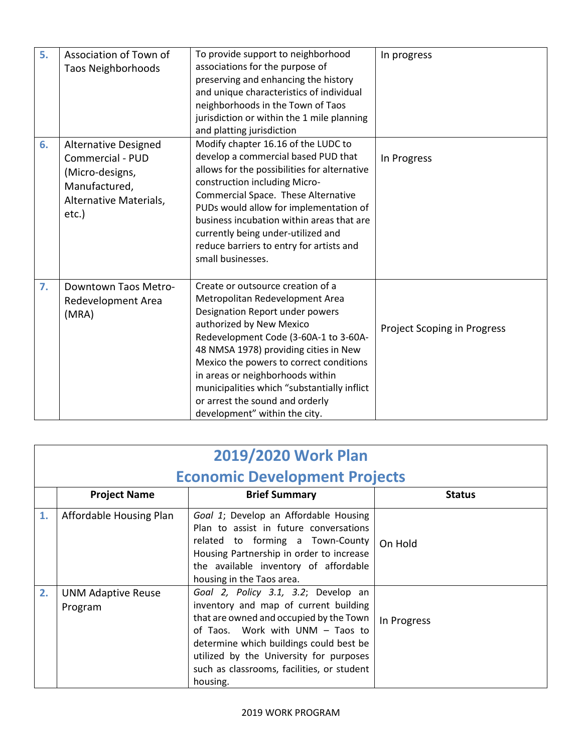| 5. | Association of Town of<br><b>Taos Neighborhoods</b>                                                                    | To provide support to neighborhood<br>associations for the purpose of<br>preserving and enhancing the history<br>and unique characteristics of individual<br>neighborhoods in the Town of Taos<br>jurisdiction or within the 1 mile planning<br>and platting jurisdiction                                                                                                                                               | In progress                        |
|----|------------------------------------------------------------------------------------------------------------------------|-------------------------------------------------------------------------------------------------------------------------------------------------------------------------------------------------------------------------------------------------------------------------------------------------------------------------------------------------------------------------------------------------------------------------|------------------------------------|
| 6. | <b>Alternative Designed</b><br>Commercial - PUD<br>(Micro-designs,<br>Manufactured,<br>Alternative Materials,<br>etc.) | Modify chapter 16.16 of the LUDC to<br>develop a commercial based PUD that<br>allows for the possibilities for alternative<br>construction including Micro-<br>Commercial Space. These Alternative<br>PUDs would allow for implementation of<br>business incubation within areas that are<br>currently being under-utilized and<br>reduce barriers to entry for artists and<br>small businesses.                        | In Progress                        |
| 7. | Downtown Taos Metro-<br>Redevelopment Area<br>(MRA)                                                                    | Create or outsource creation of a<br>Metropolitan Redevelopment Area<br>Designation Report under powers<br>authorized by New Mexico<br>Redevelopment Code (3-60A-1 to 3-60A-<br>48 NMSA 1978) providing cities in New<br>Mexico the powers to correct conditions<br>in areas or neighborhoods within<br>municipalities which "substantially inflict<br>or arrest the sound and orderly<br>development" within the city. | <b>Project Scoping in Progress</b> |

| 2019/2020 Work Plan |                                      |                                                                                                                                                                                                                                                                                                             |               |  |  |
|---------------------|--------------------------------------|-------------------------------------------------------------------------------------------------------------------------------------------------------------------------------------------------------------------------------------------------------------------------------------------------------------|---------------|--|--|
|                     | <b>Economic Development Projects</b> |                                                                                                                                                                                                                                                                                                             |               |  |  |
|                     | <b>Project Name</b>                  | <b>Brief Summary</b>                                                                                                                                                                                                                                                                                        | <b>Status</b> |  |  |
| 1.                  | Affordable Housing Plan              | Goal 1; Develop an Affordable Housing<br>Plan to assist in future conversations<br>related to forming a Town-County<br>Housing Partnership in order to increase<br>the available inventory of affordable<br>housing in the Taos area.                                                                       | On Hold       |  |  |
| 2.                  | <b>UNM Adaptive Reuse</b><br>Program | Goal 2, Policy 3.1, 3.2; Develop an<br>inventory and map of current building<br>that are owned and occupied by the Town<br>of Taos. Work with UNM - Taos to<br>determine which buildings could best be<br>utilized by the University for purposes<br>such as classrooms, facilities, or student<br>housing. | In Progress   |  |  |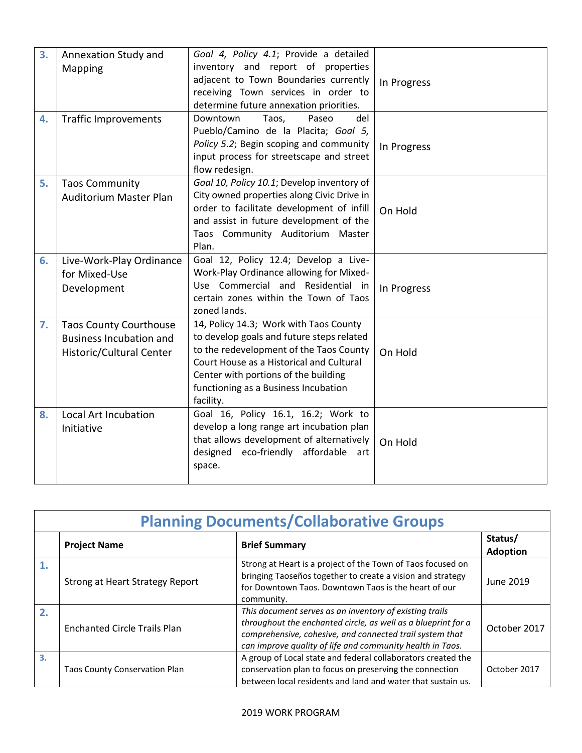| 3. | Annexation Study and<br>Mapping                                                             | Goal 4, Policy 4.1; Provide a detailed<br>inventory and report of properties<br>adjacent to Town Boundaries currently<br>receiving Town services in order to<br>determine future annexation priorities.                                                                 | In Progress |
|----|---------------------------------------------------------------------------------------------|-------------------------------------------------------------------------------------------------------------------------------------------------------------------------------------------------------------------------------------------------------------------------|-------------|
| 4. | <b>Traffic Improvements</b>                                                                 | Taos,<br>Downtown<br>Paseo<br>del<br>Pueblo/Camino de la Placita; Goal 5,<br>Policy 5.2; Begin scoping and community<br>input process for streetscape and street<br>flow redesign.                                                                                      | In Progress |
| 5. | <b>Taos Community</b><br><b>Auditorium Master Plan</b>                                      | Goal 10, Policy 10.1; Develop inventory of<br>City owned properties along Civic Drive in<br>order to facilitate development of infill<br>and assist in future development of the<br>Taos Community Auditorium Master<br>Plan.                                           | On Hold     |
| 6. | Live-Work-Play Ordinance<br>for Mixed-Use<br>Development                                    | Goal 12, Policy 12.4; Develop a Live-<br>Work-Play Ordinance allowing for Mixed-<br>Use Commercial and Residential in<br>certain zones within the Town of Taos<br>zoned lands.                                                                                          | In Progress |
| 7. | <b>Taos County Courthouse</b><br><b>Business Incubation and</b><br>Historic/Cultural Center | 14, Policy 14.3; Work with Taos County<br>to develop goals and future steps related<br>to the redevelopment of the Taos County<br>Court House as a Historical and Cultural<br>Center with portions of the building<br>functioning as a Business Incubation<br>facility. | On Hold     |
| 8. | Local Art Incubation<br>Initiative                                                          | Goal 16, Policy 16.1, 16.2; Work to<br>develop a long range art incubation plan<br>that allows development of alternatively<br>designed eco-friendly affordable art<br>space.                                                                                           | On Hold     |

| <b>Planning Documents/Collaborative Groups</b> |                                        |                                                                                                                                                                                                                                                   |                            |
|------------------------------------------------|----------------------------------------|---------------------------------------------------------------------------------------------------------------------------------------------------------------------------------------------------------------------------------------------------|----------------------------|
|                                                | <b>Project Name</b>                    | <b>Brief Summary</b>                                                                                                                                                                                                                              | Status/<br><b>Adoption</b> |
|                                                | <b>Strong at Heart Strategy Report</b> | Strong at Heart is a project of the Town of Taos focused on<br>bringing Taoseños together to create a vision and strategy<br>for Downtown Taos. Downtown Taos is the heart of our<br>community.                                                   | June 2019                  |
| 2.                                             | <b>Enchanted Circle Trails Plan</b>    | This document serves as an inventory of existing trails<br>throughout the enchanted circle, as well as a blueprint for a<br>comprehensive, cohesive, and connected trail system that<br>can improve quality of life and community health in Taos. | October 2017               |
| 3.                                             | <b>Taos County Conservation Plan</b>   | A group of Local state and federal collaborators created the<br>conservation plan to focus on preserving the connection<br>between local residents and land and water that sustain us.                                                            | October 2017               |